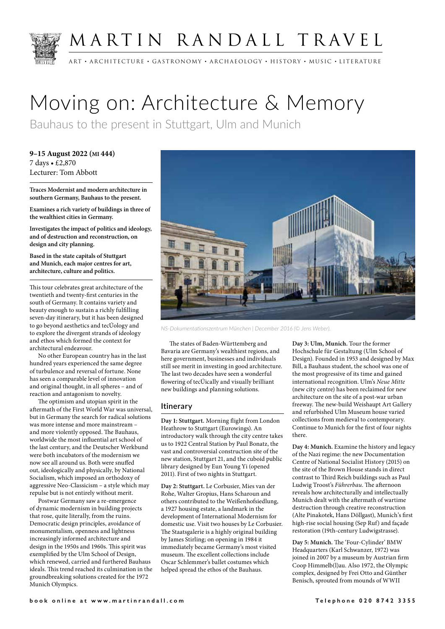

# MARTIN RANDALL TRAVEL

ART • ARCHITECTURE • GASTRONOMY • ARCHAEOLOGY • HISTORY • MUSIC • LITERATURE

# Moving on: Architecture & Memory

Bauhaus to the present in Stuttgart, Ulm and Munich

**9–15 August 2022 (MI 444)** 7 days • £2,870 Lecturer: Tom Abbott

**Traces Modernist and modern architecture in southern Germany, Bauhaus to the present.** 

**Examines a rich variety of buildings in three of the wealthiest cities in Germany.**

**Investigates the impact of politics and ideology, and of destruction and reconstruction, on design and city planning.**

**Based in the state capitals of Stuttgart and Munich, each major centres for art, architecture, culture and politics.** 

This tour celebrates great architecture of the twentieth and twenty-first centuries in the south of Germany. It contains variety and beauty enough to sustain a richly fulfilling seven-day itinerary, but it has been designed to go beyond aesthetics and tecUology and to explore the divergent strands of ideology and ethos which formed the context for architectural endeavour.

No other European country has in the last hundred years experienced the same degree of turbulence and reversal of fortune. None has seen a comparable level of innovation and original thought, in all spheres – and of reaction and antagonism to novelty.

The optimism and utopian spirit in the aftermath of the First World War was universal, but in Germany the search for radical solutions was more intense and more mainstream – and more violently opposed. The Bauhaus, worldwide the most influential art school of the last century, and the Deutscher Werkbund were both incubators of the modernism we now see all around us. Both were snuffed out, ideologically and physically, by National Socialism, which imposed an orthodoxy of aggressive Neo-Classicism – a style which may repulse but is not entirely without merit.

Postwar Germany saw a re-emergence of dynamic modernism in building projects that rose, quite literally, from the ruins. Democratic design principles, avoidance of monumentalism, openness and lightness increasingly informed architecture and design in the 1950s and 1960s. This spirit was exemplified by the Ulm School of Design, which renewed, carried and furthered Bauhaus ideals. This trend reached its culmination in the groundbreaking solutions created for the 1972 Munich Olympics.



*NS-Dokumentationszentrum München | December 2016 (© Jens Weber).*

The states of Baden-Württemberg and Bavaria are Germany's wealthiest regions, and here government, businesses and individuals still see merit in investing in good architecture. The last two decades have seen a wonderful flowering of tecÚically and visually brilliant new buildings and planning solutions.

## **Itinerary**

**Day 1: Stuttgart.** Morning flight from London Heathrow to Stuttgart (Eurowings). An introductory walk through the city centre takes us to 1922 Central Station by Paul Bonatz, the vast and controversial construction site of the new station, Stuttgart 21, and the cuboid public library designed by Eun Young Yi (opened 2011). First of two nights in Stuttgart.

**Day 2: Stuttgart.** Le Corbusier, Mies van der Rohe, Walter Gropius, Hans Scharoun and others contributed to the Weißenhofsiedlung, a 1927 housing estate, a landmark in the development of International Modernism for domestic use. Visit two houses by Le Corbusier. The Staatsgalerie is a highly original building by James Stirling; on opening in 1984 it immediately became Germany's most visited museum. The excellent collections include Oscar Schlemmer's ballet costumes which helped spread the ethos of the Bauhaus.

**Day 3: Ulm, Munich.** Tour the former Hochschule für Gestaltung (Ulm School of Design). Founded in 1953 and designed by Max Bill, a Bauhaus student, the school was one of the most progressive of its time and gained international recognition. Ulm's *Neue Mitte* (new city centre) has been reclaimed for new architecture on the site of a post-war urban freeway. The new-build Weishaupt Art Gallery and refurbished Ulm Museum house varied collections from medieval to contemporary. Continue to Munich for the first of four nights there.

**Day 4: Munich.** Examine the history and legacy of the Nazi regime: the new Documentation Centre of National Socialist History (2015) on the site of the Brown House stands in direct contrast to Third Reich buildings such as Paul Ludwig Troost's *Führerbau*. The afternoon reveals how architecturally and intellectually Munich dealt with the aftermath of wartime destruction through creative reconstruction (Alte Pinakotek, Hans Döllgast), Munich's first high-rise social housing (Sep Ruf) and façade restoration (19th-century Ludwigstrasse).

**Day 5: Munich.** The 'Four-Cylinder' BMW Headquarters (Karl Schwanzer, 1972) was joined in 2007 by a museum by Austrian firm Coop Himmelb(l)au. Also 1972, the Olympic complex, designed by Frei Otto and Günther Benisch, sprouted from mounds of WWII